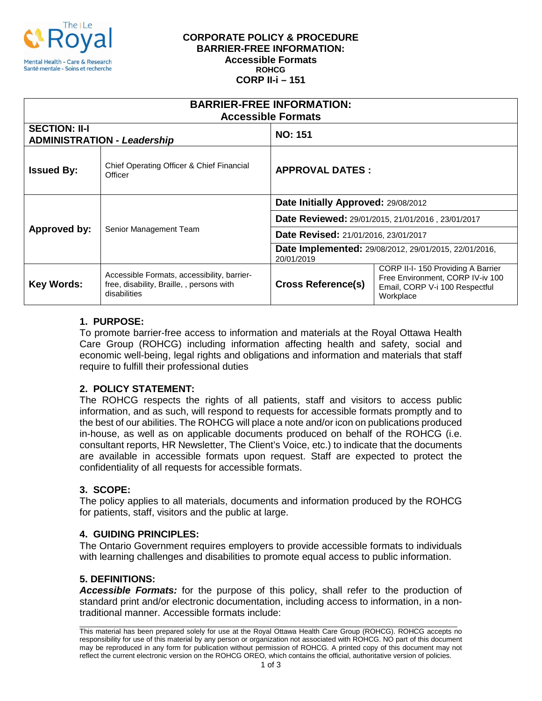

#### **CORPORATE POLICY & PROCEDURE BARRIER-FREE INFORMATION: Accessible Formats ROHCG CORP II-i – 151**

| <b>BARRIER-FREE INFORMATION:</b><br><b>Accessible Formats</b> |                                                                                                          |                                                                            |                                                                                                                      |
|---------------------------------------------------------------|----------------------------------------------------------------------------------------------------------|----------------------------------------------------------------------------|----------------------------------------------------------------------------------------------------------------------|
| <b>SECTION: II-I</b><br><b>ADMINISTRATION - Leadership</b>    |                                                                                                          | <b>NO: 151</b>                                                             |                                                                                                                      |
| <b>Issued By:</b>                                             | Chief Operating Officer & Chief Financial<br>Officer                                                     | <b>APPROVAL DATES:</b>                                                     |                                                                                                                      |
| Approved by:                                                  | Senior Management Team                                                                                   | Date Initially Approved: 29/08/2012                                        |                                                                                                                      |
|                                                               |                                                                                                          | Date Reviewed: 29/01/2015, 21/01/2016, 23/01/2017                          |                                                                                                                      |
|                                                               |                                                                                                          | Date Revised: 21/01/2016, 23/01/2017                                       |                                                                                                                      |
|                                                               |                                                                                                          | <b>Date Implemented:</b> 29/08/2012, 29/01/2015, 22/01/2016,<br>20/01/2019 |                                                                                                                      |
| <b>Key Words:</b>                                             | Accessible Formats, accessibility, barrier-<br>free, disability, Braille, , persons with<br>disabilities | <b>Cross Reference(s)</b>                                                  | CORP II-I-150 Providing A Barrier<br>Free Environment, CORP IV-iv 100<br>Email, CORP V-i 100 Respectful<br>Workplace |

# **1. PURPOSE:**

To promote barrier-free access to information and materials at the Royal Ottawa Health Care Group (ROHCG) including information affecting health and safety, social and economic well-being, legal rights and obligations and information and materials that staff require to fulfill their professional duties

# **2. POLICY STATEMENT:**

The ROHCG respects the rights of all patients, staff and visitors to access public information, and as such, will respond to requests for accessible formats promptly and to the best of our abilities. The ROHCG will place a note and/or icon on publications produced in-house, as well as on applicable documents produced on behalf of the ROHCG (i.e. consultant reports, HR Newsletter, The Client's Voice, etc.) to indicate that the documents are available in accessible formats upon request. Staff are expected to protect the confidentiality of all requests for accessible formats.

# **3. SCOPE:**

The policy applies to all materials, documents and information produced by the ROHCG for patients, staff, visitors and the public at large.

### **4. GUIDING PRINCIPLES:**

The Ontario Government requires employers to provide accessible formats to individuals with learning challenges and disabilities to promote equal access to public information.

# **5. DEFINITIONS:**

*Accessible Formats:* for the purpose of this policy, shall refer to the production of standard print and/or electronic documentation, including access to information, in a nontraditional manner. Accessible formats include:

\_\_\_\_\_\_\_\_\_\_\_\_\_\_\_\_\_\_\_\_\_\_\_\_\_\_\_\_\_\_\_\_\_\_\_\_\_\_\_\_\_\_\_\_\_\_\_\_\_\_\_\_\_\_\_\_\_\_\_\_\_\_\_\_\_\_\_\_\_\_\_\_\_\_\_\_\_\_\_\_\_\_\_\_\_\_\_\_\_\_\_\_\_\_\_\_ This material has been prepared solely for use at the Royal Ottawa Health Care Group (ROHCG). ROHCG accepts no responsibility for use of this material by any person or organization not associated with ROHCG. NO part of this document may be reproduced in any form for publication without permission of ROHCG. A printed copy of this document may not reflect the current electronic version on the ROHCG OREO, which contains the official, authoritative version of policies.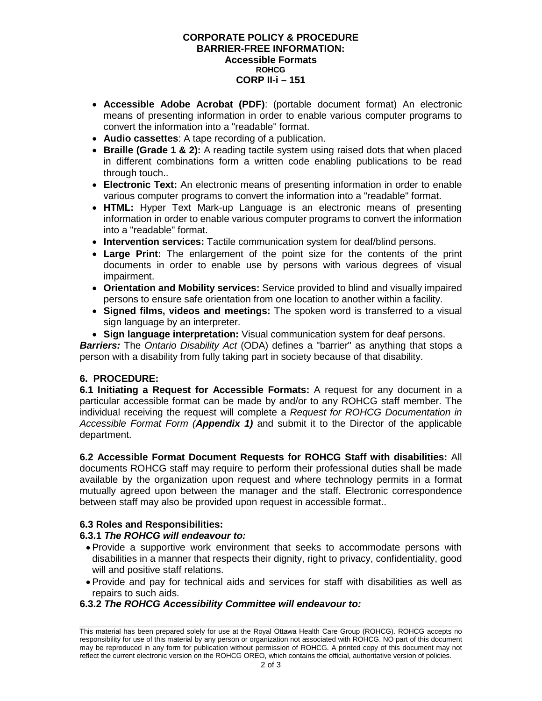#### **CORPORATE POLICY & PROCEDURE BARRIER-FREE INFORMATION: Accessible Formats ROHCG CORP II-i – 151**

- **Accessible Adobe Acrobat (PDF)**: (portable document format) An electronic means of presenting information in order to enable various computer programs to convert the information into a "readable" format.
- **Audio cassettes**: A tape recording of a publication.
- **Braille (Grade 1 & 2):** A reading tactile system using raised dots that when placed in different combinations form a written code enabling publications to be read through touch..
- **Electronic Text:** An electronic means of presenting information in order to enable various computer programs to convert the information into a "readable" format.
- **HTML:** Hyper Text Mark-up Language is an electronic means of presenting information in order to enable various computer programs to convert the information into a "readable" format.
- **Intervention services:** Tactile communication system for deaf/blind persons.
- **Large Print:** The enlargement of the point size for the contents of the print documents in order to enable use by persons with various degrees of visual impairment.
- **Orientation and Mobility services:** Service provided to blind and visually impaired persons to ensure safe orientation from one location to another within a facility.
- **Signed films, videos and meetings:** The spoken word is transferred to a visual sign language by an interpreter.
- **Sign language interpretation:** Visual communication system for deaf persons.

*Barriers:* The *Ontario Disability Act* (ODA) defines a "barrier" as anything that stops a person with a disability from fully taking part in society because of that disability.

# **6. PROCEDURE:**

**6.1 Initiating a Request for Accessible Formats:** A request for any document in a particular accessible format can be made by and/or to any ROHCG staff member. The individual receiving the request will complete a *Request for ROHCG Documentation in Accessible Format Form (Appendix 1)* and submit it to the Director of the applicable department.

**6.2 Accessible Format Document Requests for ROHCG Staff with disabilities:** All documents ROHCG staff may require to perform their professional duties shall be made available by the organization upon request and where technology permits in a format mutually agreed upon between the manager and the staff. Electronic correspondence between staff may also be provided upon request in accessible format..

### **6.3 Roles and Responsibilities:**

### **6.3.1** *The ROHCG will endeavour to:*

- Provide a supportive work environment that seeks to accommodate persons with disabilities in a manner that respects their dignity, right to privacy, confidentiality, good will and positive staff relations.
- Provide and pay for technical aids and services for staff with disabilities as well as repairs to such aids.

### **6.3.2** *The ROHCG Accessibility Committee will endeavour to:*

\_\_\_\_\_\_\_\_\_\_\_\_\_\_\_\_\_\_\_\_\_\_\_\_\_\_\_\_\_\_\_\_\_\_\_\_\_\_\_\_\_\_\_\_\_\_\_\_\_\_\_\_\_\_\_\_\_\_\_\_\_\_\_\_\_\_\_\_\_\_\_\_\_\_\_\_\_\_\_\_\_\_\_\_\_\_\_\_\_\_\_\_\_\_\_\_ This material has been prepared solely for use at the Royal Ottawa Health Care Group (ROHCG). ROHCG accepts no responsibility for use of this material by any person or organization not associated with ROHCG. NO part of this document may be reproduced in any form for publication without permission of ROHCG. A printed copy of this document may not reflect the current electronic version on the ROHCG OREO, which contains the official, authoritative version of policies.